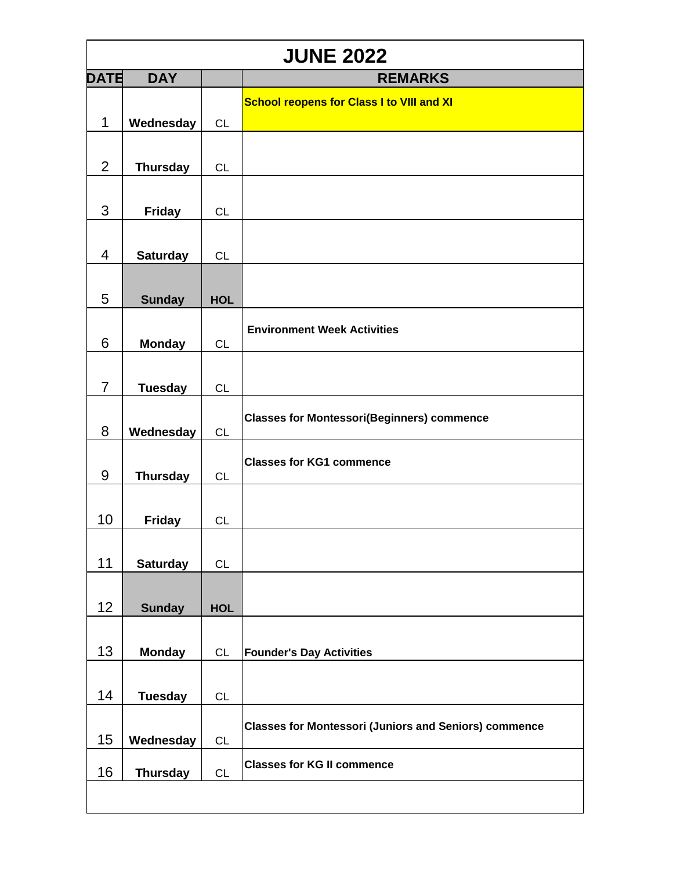|                | <b>JUNE 2022</b> |            |                                                              |  |  |
|----------------|------------------|------------|--------------------------------------------------------------|--|--|
| DATE           | <b>DAY</b>       |            | <b>REMARKS</b>                                               |  |  |
|                |                  |            | <b>School reopens for Class I to VIII and XI</b>             |  |  |
| $\mathbf 1$    | Wednesday        | CL         |                                                              |  |  |
|                |                  |            |                                                              |  |  |
| $\overline{2}$ | <b>Thursday</b>  | <b>CL</b>  |                                                              |  |  |
|                |                  |            |                                                              |  |  |
| 3              | <b>Friday</b>    | <b>CL</b>  |                                                              |  |  |
|                |                  |            |                                                              |  |  |
|                |                  |            |                                                              |  |  |
| 4              | <b>Saturday</b>  | CL         |                                                              |  |  |
|                |                  |            |                                                              |  |  |
| 5              | <b>Sunday</b>    | <b>HOL</b> |                                                              |  |  |
|                |                  |            | <b>Environment Week Activities</b>                           |  |  |
| 6              | <b>Monday</b>    | <b>CL</b>  |                                                              |  |  |
|                |                  |            |                                                              |  |  |
| $\overline{7}$ | <b>Tuesday</b>   | <b>CL</b>  |                                                              |  |  |
|                |                  |            | <b>Classes for Montessori(Beginners) commence</b>            |  |  |
| 8              | Wednesday        | <b>CL</b>  |                                                              |  |  |
|                |                  |            |                                                              |  |  |
| 9              | <b>Thursday</b>  | CL         | <b>Classes for KG1 commence</b>                              |  |  |
|                |                  |            |                                                              |  |  |
| 10             | <b>Friday</b>    | <b>CL</b>  |                                                              |  |  |
|                |                  |            |                                                              |  |  |
| 11             | <b>Saturday</b>  | CL         |                                                              |  |  |
|                |                  |            |                                                              |  |  |
| 12             | <b>Sunday</b>    | <b>HOL</b> |                                                              |  |  |
|                |                  |            |                                                              |  |  |
|                |                  |            |                                                              |  |  |
| 13             | <b>Monday</b>    | <b>CL</b>  | <b>Founder's Day Activities</b>                              |  |  |
|                |                  |            |                                                              |  |  |
| 14             | <b>Tuesday</b>   | <b>CL</b>  |                                                              |  |  |
|                |                  |            | <b>Classes for Montessori (Juniors and Seniors) commence</b> |  |  |
| 15             | Wednesday        | CL         |                                                              |  |  |
| 16             | <b>Thursday</b>  | CL         | <b>Classes for KG II commence</b>                            |  |  |
|                |                  |            |                                                              |  |  |
|                |                  |            |                                                              |  |  |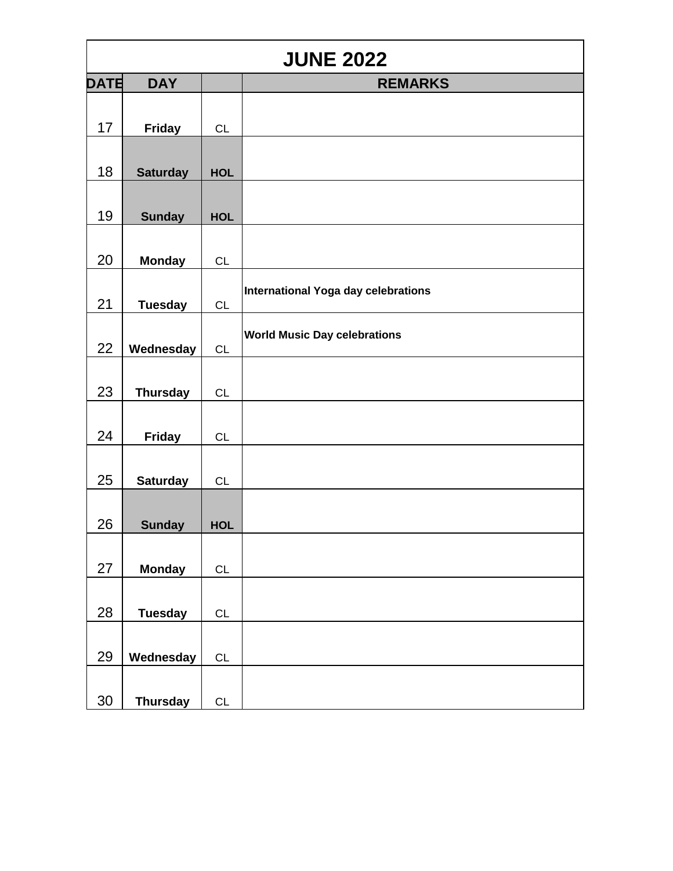|             | <b>JUNE 2022</b> |               |                                     |  |  |
|-------------|------------------|---------------|-------------------------------------|--|--|
| <b>DATE</b> | <b>DAY</b>       |               | <b>REMARKS</b>                      |  |  |
| 17          | <b>Friday</b>    | CL            |                                     |  |  |
| 18          | <b>Saturday</b>  | <b>HOL</b>    |                                     |  |  |
| 19          | <b>Sunday</b>    | <b>HOL</b>    |                                     |  |  |
| 20          | <b>Monday</b>    | CL            |                                     |  |  |
| 21          | <b>Tuesday</b>   | CL            | International Yoga day celebrations |  |  |
| 22          | Wednesday        | CL            | <b>World Music Day celebrations</b> |  |  |
| 23          | <b>Thursday</b>  | CL            |                                     |  |  |
| 24          | <b>Friday</b>    | CL            |                                     |  |  |
| 25          | <b>Saturday</b>  | CL            |                                     |  |  |
| 26          | <b>Sunday</b>    | HOL           |                                     |  |  |
| 27          | <b>Monday</b>    | $\mathsf{CL}$ |                                     |  |  |
| 28          | <b>Tuesday</b>   | CL            |                                     |  |  |
| 29          | Wednesday        | $\mathsf{CL}$ |                                     |  |  |
| 30          | <b>Thursday</b>  | CL            |                                     |  |  |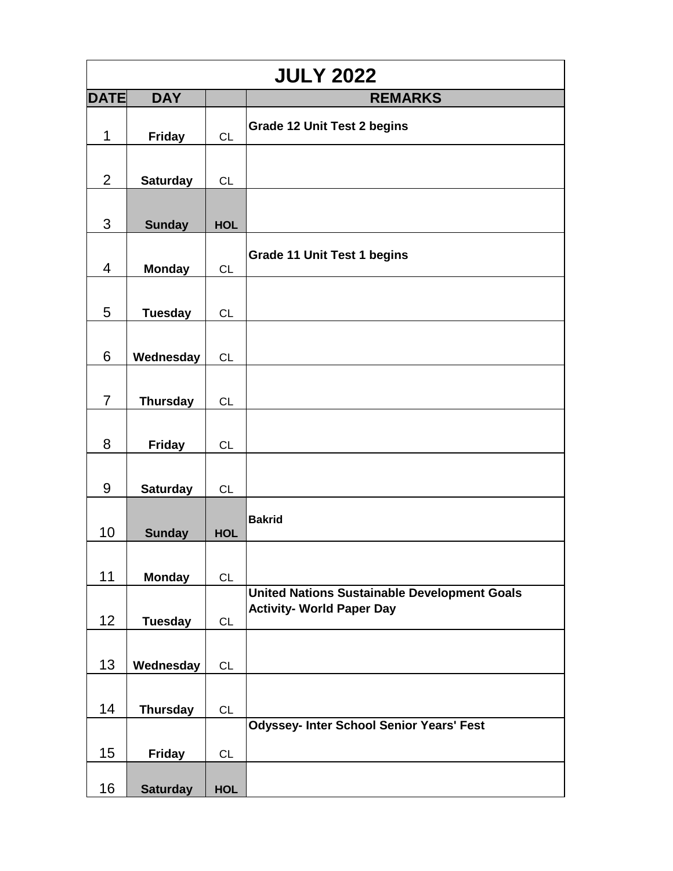|                | <b>JULY 2022</b> |            |                                                                                         |  |  |
|----------------|------------------|------------|-----------------------------------------------------------------------------------------|--|--|
| <b>DATE</b>    | <b>DAY</b>       |            | <b>REMARKS</b>                                                                          |  |  |
| $\mathbf 1$    | <b>Friday</b>    | CL         | <b>Grade 12 Unit Test 2 begins</b>                                                      |  |  |
| $\overline{2}$ | <b>Saturday</b>  | <b>CL</b>  |                                                                                         |  |  |
| 3              | <b>Sunday</b>    | <b>HOL</b> |                                                                                         |  |  |
| $\overline{4}$ | <b>Monday</b>    | CL         | <b>Grade 11 Unit Test 1 begins</b>                                                      |  |  |
| $5\phantom{1}$ | <b>Tuesday</b>   | CL         |                                                                                         |  |  |
| 6              | Wednesday        | <b>CL</b>  |                                                                                         |  |  |
| $\overline{7}$ | <b>Thursday</b>  | CL         |                                                                                         |  |  |
| 8              | <b>Friday</b>    | <b>CL</b>  |                                                                                         |  |  |
| 9              | <b>Saturday</b>  | <b>CL</b>  |                                                                                         |  |  |
| 10             | <b>Sunday</b>    | <b>HOL</b> | <b>Bakrid</b>                                                                           |  |  |
| 11             | <b>Monday</b>    | CL         |                                                                                         |  |  |
| 12             | <b>Tuesday</b>   | <b>CL</b>  | <b>United Nations Sustainable Development Goals</b><br><b>Activity- World Paper Day</b> |  |  |
| 13             | Wednesday        | CL         |                                                                                         |  |  |
| 14             | <b>Thursday</b>  | <b>CL</b>  |                                                                                         |  |  |
| 15             | <b>Friday</b>    | CL         | <b>Odyssey- Inter School Senior Years' Fest</b>                                         |  |  |
| 16             | <b>Saturday</b>  | <b>HOL</b> |                                                                                         |  |  |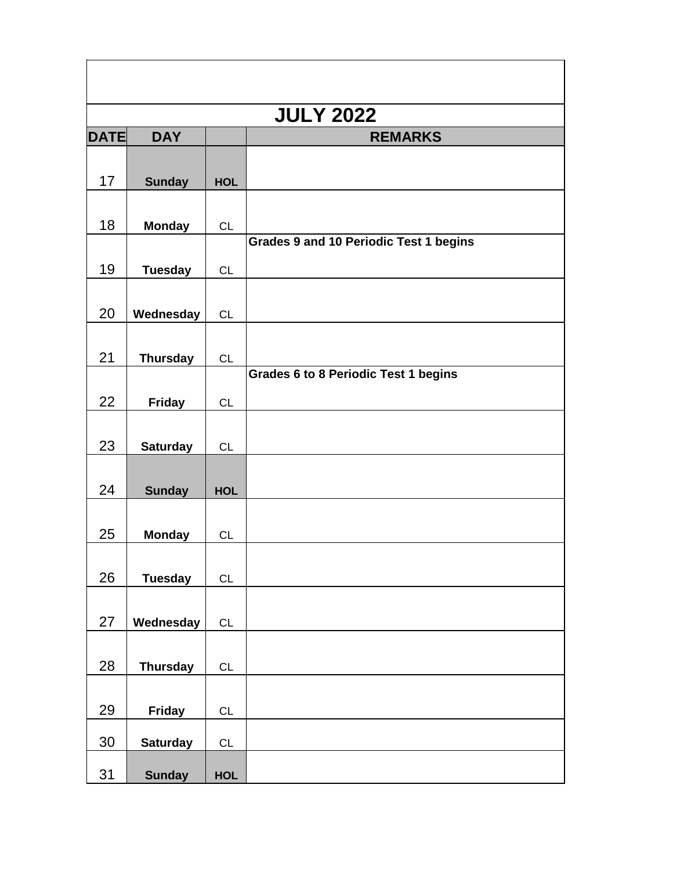|             | <b>JULY 2022</b> |            |                                               |  |  |
|-------------|------------------|------------|-----------------------------------------------|--|--|
| <b>DATE</b> | <b>DAY</b>       |            | <b>REMARKS</b>                                |  |  |
|             |                  |            |                                               |  |  |
| 17          | <b>Sunday</b>    | <b>HOL</b> |                                               |  |  |
|             |                  |            |                                               |  |  |
| 18          | <b>Monday</b>    | CL         |                                               |  |  |
|             |                  |            | <b>Grades 9 and 10 Periodic Test 1 begins</b> |  |  |
| 19          | <b>Tuesday</b>   | CL         |                                               |  |  |
|             |                  |            |                                               |  |  |
| 20          | Wednesday        | <b>CL</b>  |                                               |  |  |
|             |                  |            |                                               |  |  |
| 21          | <b>Thursday</b>  | CL         | <b>Grades 6 to 8 Periodic Test 1 begins</b>   |  |  |
|             |                  |            |                                               |  |  |
| 22          | <b>Friday</b>    | <b>CL</b>  |                                               |  |  |
|             |                  |            |                                               |  |  |
| 23          | <b>Saturday</b>  | <b>CL</b>  |                                               |  |  |
| 24          |                  |            |                                               |  |  |
|             | <b>Sunday</b>    | <b>HOL</b> |                                               |  |  |
| 25          | <b>Monday</b>    | <b>CL</b>  |                                               |  |  |
|             |                  |            |                                               |  |  |
| 26          | <b>Tuesday</b>   | CL         |                                               |  |  |
|             |                  |            |                                               |  |  |
| 27          | Wednesday        | CL         |                                               |  |  |
|             |                  |            |                                               |  |  |
| 28          | <b>Thursday</b>  | CL         |                                               |  |  |
|             |                  |            |                                               |  |  |
| 29          | <b>Friday</b>    | CL         |                                               |  |  |
| 30          |                  |            |                                               |  |  |
|             | <b>Saturday</b>  | CL         |                                               |  |  |
| 31          | <b>Sunday</b>    | <b>HOL</b> |                                               |  |  |

 $\mathsf{r}$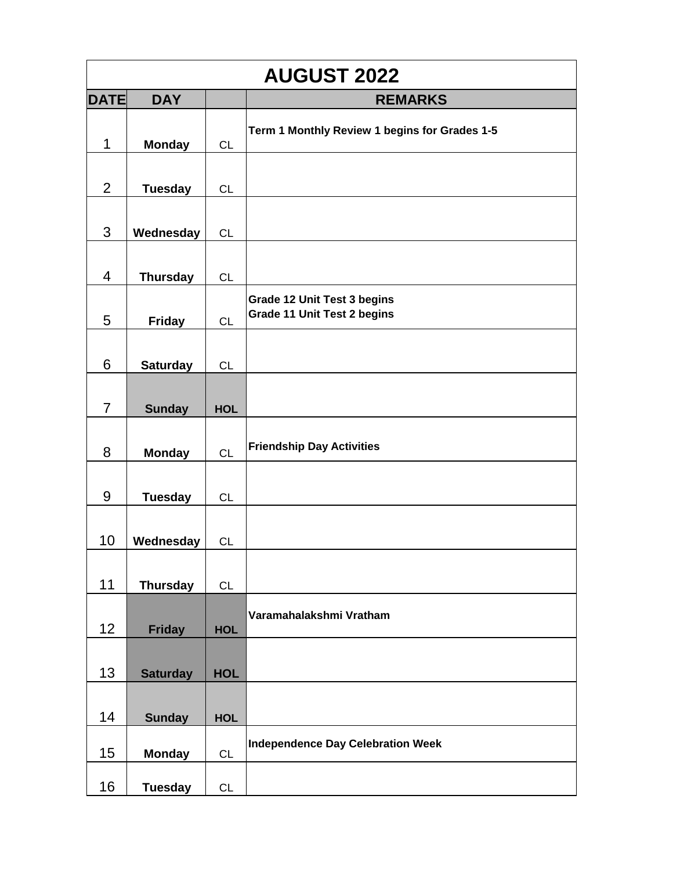| <b>AUGUST 2022</b> |                 |            |                                                                          |  |
|--------------------|-----------------|------------|--------------------------------------------------------------------------|--|
| <b>DATE</b>        | <b>DAY</b>      |            | <b>REMARKS</b>                                                           |  |
| 1                  | <b>Monday</b>   | <b>CL</b>  | Term 1 Monthly Review 1 begins for Grades 1-5                            |  |
| $\overline{2}$     | <b>Tuesday</b>  | <b>CL</b>  |                                                                          |  |
| 3                  | Wednesday       | <b>CL</b>  |                                                                          |  |
| $\overline{4}$     | <b>Thursday</b> | CL         |                                                                          |  |
| 5                  | <b>Friday</b>   | <b>CL</b>  | <b>Grade 12 Unit Test 3 begins</b><br><b>Grade 11 Unit Test 2 begins</b> |  |
| 6                  | <b>Saturday</b> | <b>CL</b>  |                                                                          |  |
| $\overline{7}$     | <b>Sunday</b>   | <b>HOL</b> |                                                                          |  |
| 8                  | <b>Monday</b>   | <b>CL</b>  | <b>Friendship Day Activities</b>                                         |  |
| 9                  | <b>Tuesday</b>  | <b>CL</b>  |                                                                          |  |
| 10                 | Wednesday       | <b>CL</b>  |                                                                          |  |
| 11                 | <b>Thursday</b> | CL         |                                                                          |  |
| 12                 | <b>Friday</b>   | <b>HOL</b> | Varamahalakshmi Vratham                                                  |  |
| 13                 | <b>Saturday</b> | <b>HOL</b> |                                                                          |  |
| 14                 | <b>Sunday</b>   | <b>HOL</b> |                                                                          |  |
| 15                 | <b>Monday</b>   | CL         | <b>Independence Day Celebration Week</b>                                 |  |
| 16                 | <b>Tuesday</b>  | <b>CL</b>  |                                                                          |  |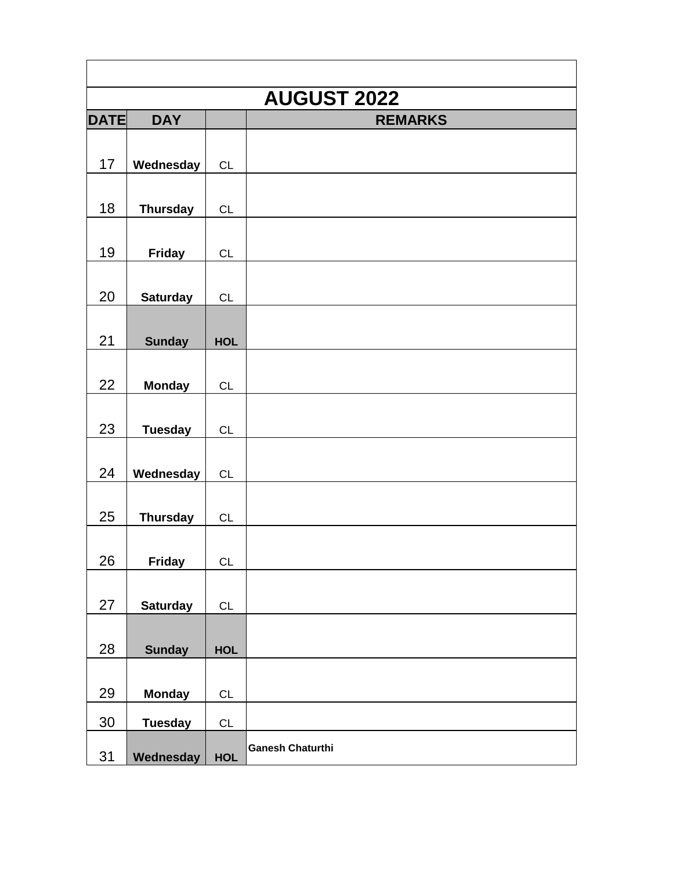|             | <b>AUGUST 2022</b> |            |                         |  |  |
|-------------|--------------------|------------|-------------------------|--|--|
| <b>DATE</b> | <b>DAY</b>         |            | <b>REMARKS</b>          |  |  |
| 17          | Wednesday          | CL         |                         |  |  |
| 18          | <b>Thursday</b>    | <b>CL</b>  |                         |  |  |
| 19          | <b>Friday</b>      | CL         |                         |  |  |
| 20          | <b>Saturday</b>    | <b>CL</b>  |                         |  |  |
| 21          | <b>Sunday</b>      | <b>HOL</b> |                         |  |  |
| 22          | <b>Monday</b>      | CL         |                         |  |  |
| 23          | <b>Tuesday</b>     | <b>CL</b>  |                         |  |  |
| 24          | Wednesday          | CL         |                         |  |  |
| 25          | <b>Thursday</b>    | CL         |                         |  |  |
| 26          | <b>Friday</b>      | <b>CL</b>  |                         |  |  |
| 27          | <b>Saturday</b>    | CL         |                         |  |  |
| 28          | <b>Sunday</b>      | <b>HOL</b> |                         |  |  |
| 29          | <b>Monday</b>      | CL         |                         |  |  |
| 30          | <b>Tuesday</b>     | CL         |                         |  |  |
| 31          | Wednesday          | <b>HOL</b> | <b>Ganesh Chaturthi</b> |  |  |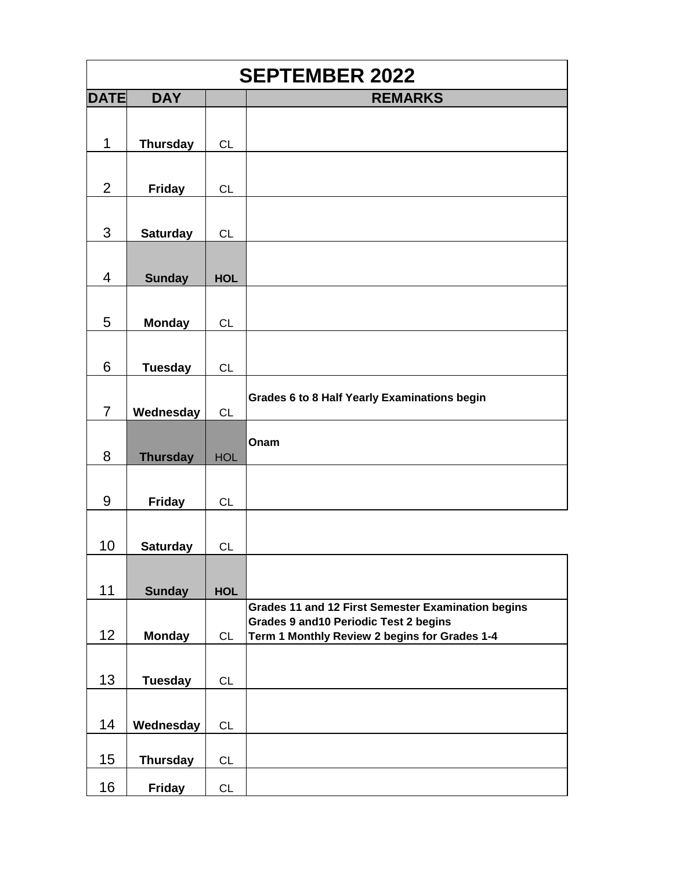| <b>SEPTEMBER 2022</b> |                 |            |                                                                                              |
|-----------------------|-----------------|------------|----------------------------------------------------------------------------------------------|
| <b>DATE</b>           | <b>DAY</b>      |            | <b>REMARKS</b>                                                                               |
| 1                     | <b>Thursday</b> | <b>CL</b>  |                                                                                              |
|                       |                 |            |                                                                                              |
| $\overline{2}$        | <b>Friday</b>   | CL         |                                                                                              |
| 3                     | <b>Saturday</b> | <b>CL</b>  |                                                                                              |
| $\overline{4}$        | <b>Sunday</b>   | <b>HOL</b> |                                                                                              |
|                       |                 |            |                                                                                              |
| 5                     | <b>Monday</b>   | CL         |                                                                                              |
| 6                     | <b>Tuesday</b>  | <b>CL</b>  |                                                                                              |
| $\overline{7}$        | Wednesday       | CL         | Grades 6 to 8 Half Yearly Examinations begin                                                 |
| 8                     |                 |            | Onam                                                                                         |
|                       | <b>Thursday</b> | <b>HOL</b> |                                                                                              |
| 9                     | <b>Friday</b>   | CL         |                                                                                              |
|                       |                 |            |                                                                                              |
| 10                    | <b>Saturday</b> | <b>CL</b>  |                                                                                              |
|                       |                 |            |                                                                                              |
| 11                    | <b>Sunday</b>   | <b>HOL</b> |                                                                                              |
|                       |                 |            | Grades 11 and 12 First Semester Examination begins<br>Grades 9 and 10 Periodic Test 2 begins |
| 12                    | <b>Monday</b>   | <b>CL</b>  | Term 1 Monthly Review 2 begins for Grades 1-4                                                |
|                       |                 |            |                                                                                              |
| 13                    | <b>Tuesday</b>  | <b>CL</b>  |                                                                                              |
|                       |                 |            |                                                                                              |
| 14                    | Wednesday       | <b>CL</b>  |                                                                                              |
|                       |                 |            |                                                                                              |
| 15                    | <b>Thursday</b> | <b>CL</b>  |                                                                                              |
| 16                    | <b>Friday</b>   | <b>CL</b>  |                                                                                              |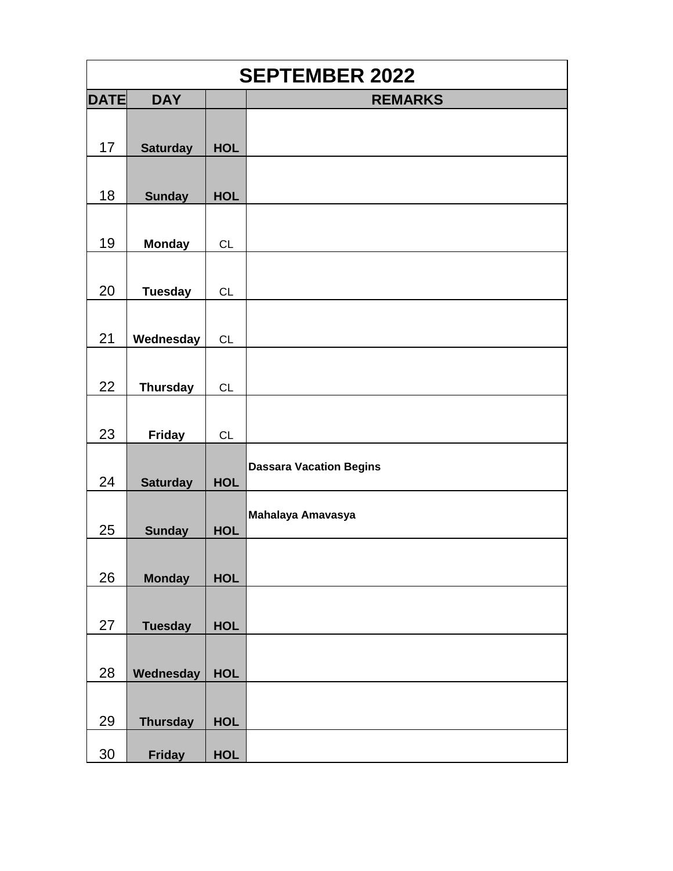|             | <b>SEPTEMBER 2022</b> |            |                                |  |
|-------------|-----------------------|------------|--------------------------------|--|
| <b>DATE</b> | <b>DAY</b>            |            | <b>REMARKS</b>                 |  |
| 17          |                       | <b>HOL</b> |                                |  |
|             | <b>Saturday</b>       |            |                                |  |
| 18          | <b>Sunday</b>         | <b>HOL</b> |                                |  |
| 19          | <b>Monday</b>         | <b>CL</b>  |                                |  |
| 20          | <b>Tuesday</b>        | <b>CL</b>  |                                |  |
| 21          | Wednesday             | <b>CL</b>  |                                |  |
| 22          | <b>Thursday</b>       | <b>CL</b>  |                                |  |
| 23          | <b>Friday</b>         | CL         |                                |  |
| 24          | <b>Saturday</b>       | <b>HOL</b> | <b>Dassara Vacation Begins</b> |  |
| 25          | <b>Sunday</b>         | <b>HOL</b> | Mahalaya Amavasya              |  |
| 26          | <b>Monday</b>         | <b>HOL</b> |                                |  |
| 27          | <b>Tuesday</b>        | <b>HOL</b> |                                |  |
| 28          | Wednesday             | <b>HOL</b> |                                |  |
| 29          | <b>Thursday</b>       | <b>HOL</b> |                                |  |
| 30          | <b>Friday</b>         | <b>HOL</b> |                                |  |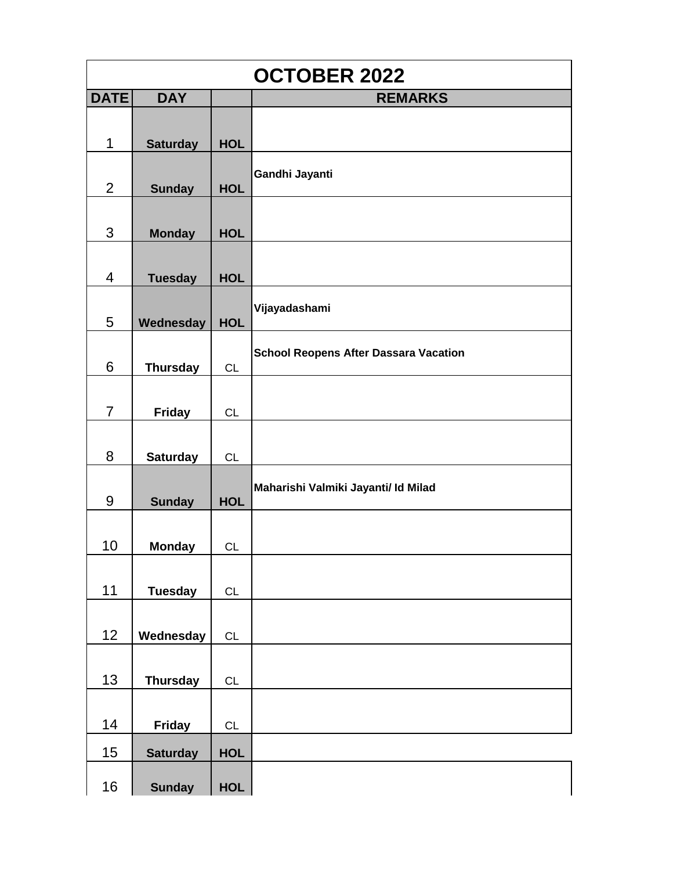|                | <b>OCTOBER 2022</b> |            |                                              |  |  |
|----------------|---------------------|------------|----------------------------------------------|--|--|
| <b>DATE</b>    | <b>DAY</b>          |            | <b>REMARKS</b>                               |  |  |
|                |                     |            |                                              |  |  |
| 1              | <b>Saturday</b>     | <b>HOL</b> |                                              |  |  |
|                |                     |            |                                              |  |  |
| $\overline{2}$ | <b>Sunday</b>       | <b>HOL</b> | Gandhi Jayanti                               |  |  |
|                |                     |            |                                              |  |  |
| 3              | <b>Monday</b>       | <b>HOL</b> |                                              |  |  |
|                |                     |            |                                              |  |  |
| 4              | <b>Tuesday</b>      | <b>HOL</b> |                                              |  |  |
|                |                     |            |                                              |  |  |
| 5              | Wednesday           | <b>HOL</b> | Vijayadashami                                |  |  |
|                |                     |            |                                              |  |  |
| 6              | <b>Thursday</b>     | CL         | <b>School Reopens After Dassara Vacation</b> |  |  |
|                |                     |            |                                              |  |  |
| $\overline{7}$ | <b>Friday</b>       | CL         |                                              |  |  |
|                |                     |            |                                              |  |  |
| 8              | <b>Saturday</b>     | <b>CL</b>  |                                              |  |  |
|                |                     |            | Maharishi Valmiki Jayanti/ Id Milad          |  |  |
| 9              | <b>Sunday</b>       | <b>HOL</b> |                                              |  |  |
|                |                     |            |                                              |  |  |
| 10             | <b>Monday</b>       | CL         |                                              |  |  |
|                |                     |            |                                              |  |  |
| 11             | <b>Tuesday</b>      | CL         |                                              |  |  |
|                |                     |            |                                              |  |  |
| 12             | Wednesday           | CL         |                                              |  |  |
|                |                     |            |                                              |  |  |
| 13             | <b>Thursday</b>     | CL         |                                              |  |  |
|                |                     |            |                                              |  |  |
| 14             | <b>Friday</b>       | CL         |                                              |  |  |
| 15             | <b>Saturday</b>     | <b>HOL</b> |                                              |  |  |
|                |                     |            |                                              |  |  |
| 16             | <b>Sunday</b>       | <b>HOL</b> |                                              |  |  |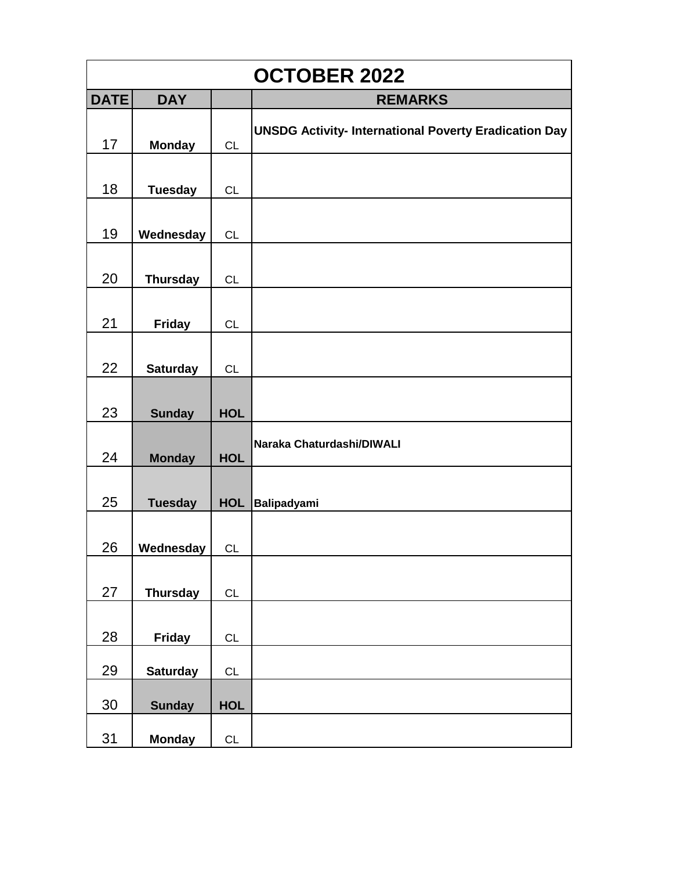|             | <b>OCTOBER 2022</b> |            |                                                              |  |  |
|-------------|---------------------|------------|--------------------------------------------------------------|--|--|
| <b>DATE</b> | <b>DAY</b>          |            | <b>REMARKS</b>                                               |  |  |
| 17          | <b>Monday</b>       | <b>CL</b>  | <b>UNSDG Activity- International Poverty Eradication Day</b> |  |  |
| 18          | <b>Tuesday</b>      | CL         |                                                              |  |  |
| 19          | Wednesday           | CL         |                                                              |  |  |
| 20          | <b>Thursday</b>     | CL         |                                                              |  |  |
| 21          | <b>Friday</b>       | CL         |                                                              |  |  |
| 22          | <b>Saturday</b>     | CL         |                                                              |  |  |
| 23          | <b>Sunday</b>       | <b>HOL</b> |                                                              |  |  |
| 24          | <b>Monday</b>       | <b>HOL</b> | Naraka Chaturdashi/DIWALI                                    |  |  |
| 25          | <b>Tuesday</b>      | <b>HOL</b> | <b>Balipadyami</b>                                           |  |  |
| 26          | Wednesday           | <b>CL</b>  |                                                              |  |  |
| 27          | <b>Thursday</b>     | CL         |                                                              |  |  |
| 28          | <b>Friday</b>       | CL         |                                                              |  |  |
| 29          | <b>Saturday</b>     | CL         |                                                              |  |  |
| 30          | <b>Sunday</b>       | <b>HOL</b> |                                                              |  |  |
| 31          | <b>Monday</b>       | CL         |                                                              |  |  |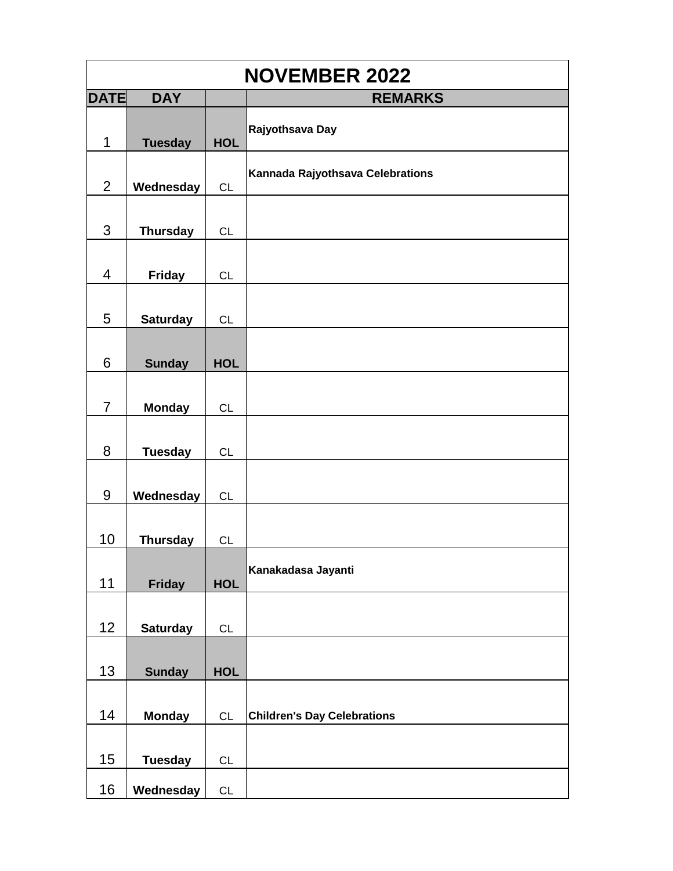| <b>NOVEMBER 2022</b> |                 |               |                                    |  |
|----------------------|-----------------|---------------|------------------------------------|--|
| <b>DATE</b>          | <b>DAY</b>      |               | <b>REMARKS</b>                     |  |
| 1                    | <b>Tuesday</b>  | <b>HOL</b>    | Rajyothsava Day                    |  |
| $\overline{2}$       | Wednesday       | CL            | Kannada Rajyothsava Celebrations   |  |
| 3                    | <b>Thursday</b> | CL            |                                    |  |
| $\overline{4}$       | <b>Friday</b>   | <b>CL</b>     |                                    |  |
| 5                    | <b>Saturday</b> | <b>CL</b>     |                                    |  |
| 6                    | <b>Sunday</b>   | <b>HOL</b>    |                                    |  |
| $\overline{7}$       | <b>Monday</b>   | <b>CL</b>     |                                    |  |
| 8                    | <b>Tuesday</b>  | CL            |                                    |  |
| 9                    | Wednesday       | CL            |                                    |  |
| 10                   | <b>Thursday</b> | CL            |                                    |  |
| 11                   | <b>Friday</b>   | <b>HOL</b>    | Kanakadasa Jayanti                 |  |
| 12                   | <b>Saturday</b> | CL            |                                    |  |
| 13                   | <b>Sunday</b>   | <b>HOL</b>    |                                    |  |
| 14                   | <b>Monday</b>   | CL            | <b>Children's Day Celebrations</b> |  |
| 15                   | <b>Tuesday</b>  | $\mathsf{CL}$ |                                    |  |
| 16                   | Wednesday       | CL            |                                    |  |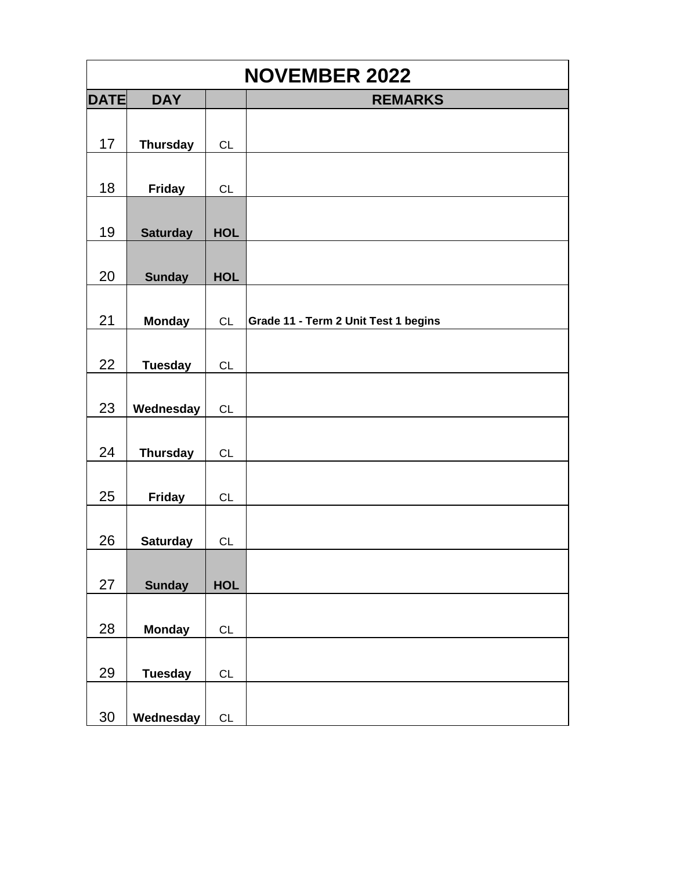| <b>NOVEMBER 2022</b> |                 |            |                                      |
|----------------------|-----------------|------------|--------------------------------------|
| <b>DATE</b>          | <b>DAY</b>      |            | <b>REMARKS</b>                       |
| 17                   | <b>Thursday</b> | <b>CL</b>  |                                      |
| 18                   | <b>Friday</b>   | <b>CL</b>  |                                      |
| 19                   | <b>Saturday</b> | <b>HOL</b> |                                      |
| 20                   | <b>Sunday</b>   | <b>HOL</b> |                                      |
| 21                   | <b>Monday</b>   | CL         | Grade 11 - Term 2 Unit Test 1 begins |
| 22                   | <b>Tuesday</b>  | CL         |                                      |
| 23                   | Wednesday       | <b>CL</b>  |                                      |
| 24                   | <b>Thursday</b> | CL         |                                      |
| 25                   | <b>Friday</b>   | CL         |                                      |
| 26                   | <b>Saturday</b> | CL         |                                      |
| 27                   | <b>Sunday</b>   | <b>HOL</b> |                                      |
| 28                   | <b>Monday</b>   | CL         |                                      |
| 29                   | <b>Tuesday</b>  | CL         |                                      |
| 30                   | Wednesday       | CL         |                                      |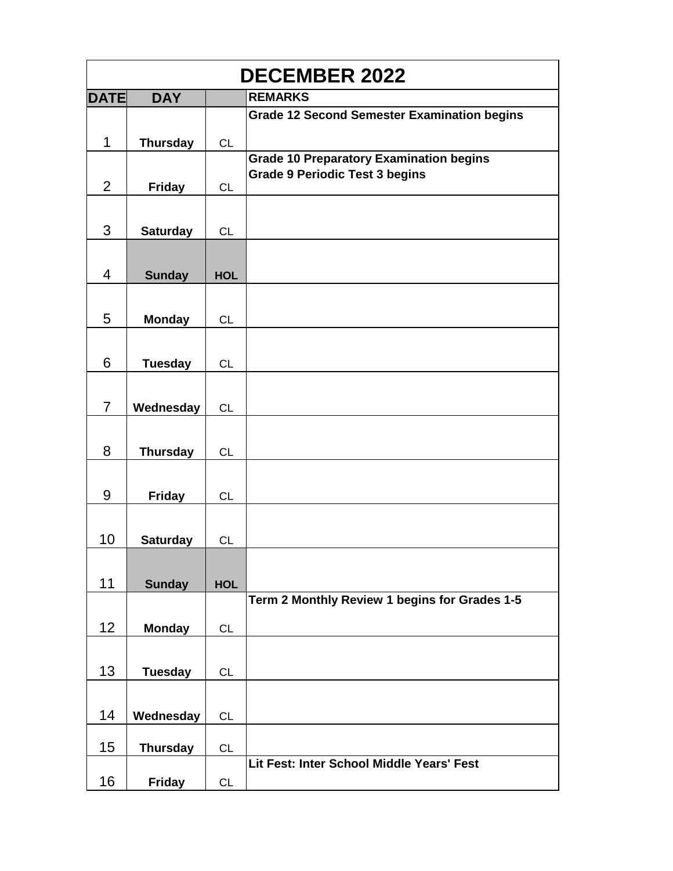| <b>DECEMBER 2022</b> |                 |            |                                                    |  |
|----------------------|-----------------|------------|----------------------------------------------------|--|
| <b>DATE</b>          | <b>DAY</b>      |            | <b>REMARKS</b>                                     |  |
|                      |                 |            | <b>Grade 12 Second Semester Examination begins</b> |  |
| 1                    | <b>Thursday</b> | CL         |                                                    |  |
|                      |                 |            | <b>Grade 10 Preparatory Examination begins</b>     |  |
| $\overline{2}$       | <b>Friday</b>   | <b>CL</b>  | <b>Grade 9 Periodic Test 3 begins</b>              |  |
|                      |                 |            |                                                    |  |
|                      |                 |            |                                                    |  |
| 3                    | <b>Saturday</b> | <b>CL</b>  |                                                    |  |
|                      |                 |            |                                                    |  |
| 4                    | <b>Sunday</b>   | <b>HOL</b> |                                                    |  |
|                      |                 |            |                                                    |  |
| 5                    | <b>Monday</b>   | <b>CL</b>  |                                                    |  |
|                      |                 |            |                                                    |  |
|                      |                 |            |                                                    |  |
| 6                    | <b>Tuesday</b>  | <b>CL</b>  |                                                    |  |
|                      |                 |            |                                                    |  |
| $\overline{7}$       | Wednesday       | <b>CL</b>  |                                                    |  |
|                      |                 |            |                                                    |  |
| 8                    | <b>Thursday</b> | CL         |                                                    |  |
|                      |                 |            |                                                    |  |
|                      |                 |            |                                                    |  |
| 9                    | <b>Friday</b>   | <b>CL</b>  |                                                    |  |
|                      |                 |            |                                                    |  |
| 10                   | <b>Saturday</b> | <b>CL</b>  |                                                    |  |
|                      |                 |            |                                                    |  |
| 11                   | <b>Sunday</b>   | <b>HOL</b> |                                                    |  |
|                      |                 |            | Term 2 Monthly Review 1 begins for Grades 1-5      |  |
|                      |                 |            |                                                    |  |
| 12                   | <b>Monday</b>   | <b>CL</b>  |                                                    |  |
|                      |                 |            |                                                    |  |
| 13                   | <b>Tuesday</b>  | <b>CL</b>  |                                                    |  |
|                      |                 |            |                                                    |  |
| 14                   | Wednesday       | <b>CL</b>  |                                                    |  |
|                      |                 |            |                                                    |  |
| 15                   | <b>Thursday</b> | CL         |                                                    |  |
|                      |                 |            | Lit Fest: Inter School Middle Years' Fest          |  |
| 16                   | <b>Friday</b>   | <b>CL</b>  |                                                    |  |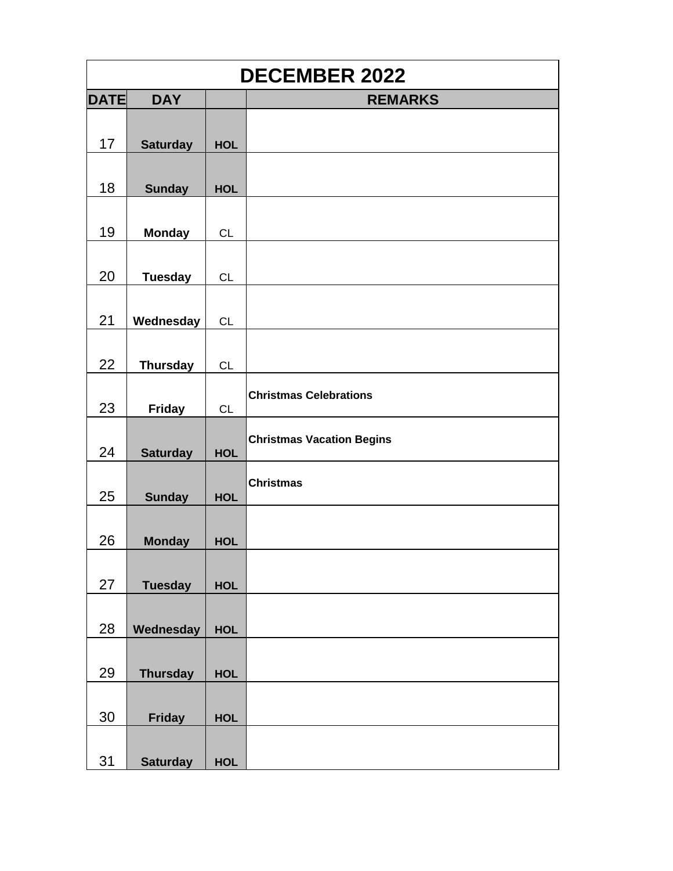| <b>DECEMBER 2022</b> |                 |            |                                  |  |
|----------------------|-----------------|------------|----------------------------------|--|
| <b>DATE</b>          | <b>DAY</b>      |            | <b>REMARKS</b>                   |  |
|                      |                 |            |                                  |  |
| 17                   | <b>Saturday</b> | <b>HOL</b> |                                  |  |
|                      |                 |            |                                  |  |
| 18                   | <b>Sunday</b>   | <b>HOL</b> |                                  |  |
|                      |                 |            |                                  |  |
| 19                   | <b>Monday</b>   | CL         |                                  |  |
|                      |                 |            |                                  |  |
| 20                   | <b>Tuesday</b>  | <b>CL</b>  |                                  |  |
|                      |                 |            |                                  |  |
| 21                   | Wednesday       | CL         |                                  |  |
|                      |                 |            |                                  |  |
| 22                   | <b>Thursday</b> | CL         |                                  |  |
|                      |                 |            | <b>Christmas Celebrations</b>    |  |
| 23                   | <b>Friday</b>   | <b>CL</b>  |                                  |  |
|                      |                 |            | <b>Christmas Vacation Begins</b> |  |
| 24                   | <b>Saturday</b> | <b>HOL</b> |                                  |  |
|                      |                 |            | <b>Christmas</b>                 |  |
| 25                   | <b>Sunday</b>   | <b>HOL</b> |                                  |  |
|                      |                 |            |                                  |  |
| 26                   | <b>Monday</b>   | <b>HOL</b> |                                  |  |
|                      |                 |            |                                  |  |
| 27                   | <b>Tuesday</b>  | <b>HOL</b> |                                  |  |
| 28                   |                 |            |                                  |  |
|                      | Wednesday       | <b>HOL</b> |                                  |  |
| 29                   |                 | <b>HOL</b> |                                  |  |
|                      | <b>Thursday</b> |            |                                  |  |
| 30                   | <b>Friday</b>   | <b>HOL</b> |                                  |  |
|                      |                 |            |                                  |  |
|                      |                 |            |                                  |  |
|                      |                 |            |                                  |  |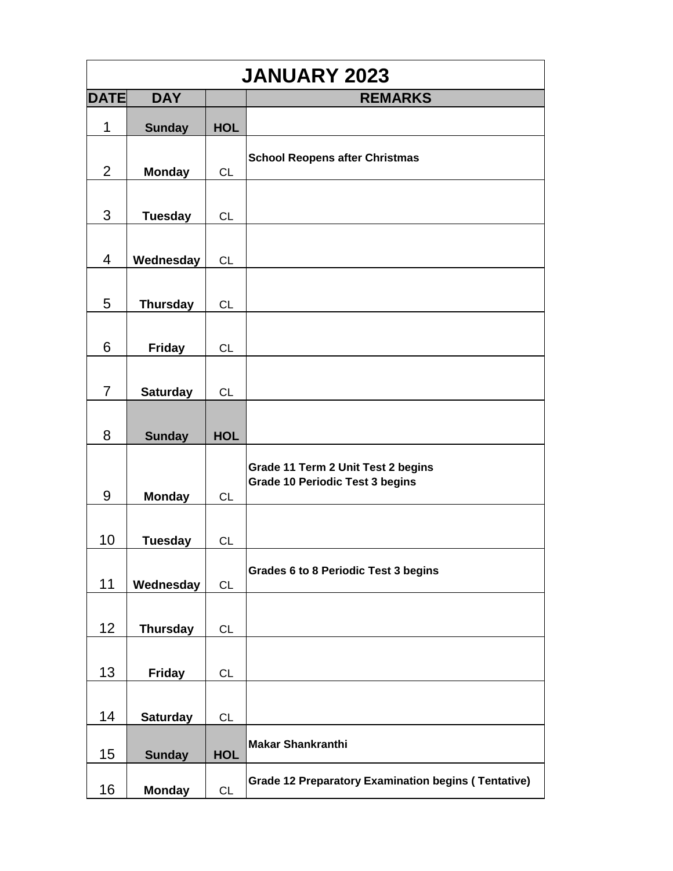| <b>JANUARY 2023</b> |                 |            |                                                                              |
|---------------------|-----------------|------------|------------------------------------------------------------------------------|
| <b>DATE</b>         | <b>DAY</b>      |            | <b>REMARKS</b>                                                               |
| 1                   | <b>Sunday</b>   | <b>HOL</b> |                                                                              |
| $\overline{2}$      | <b>Monday</b>   | <b>CL</b>  | <b>School Reopens after Christmas</b>                                        |
| 3                   | <b>Tuesday</b>  | <b>CL</b>  |                                                                              |
| $\overline{4}$      | Wednesday       | <b>CL</b>  |                                                                              |
| 5                   | <b>Thursday</b> | <b>CL</b>  |                                                                              |
| 6                   | <b>Friday</b>   | <b>CL</b>  |                                                                              |
| $\overline{7}$      | <b>Saturday</b> | <b>CL</b>  |                                                                              |
| 8                   | <b>Sunday</b>   | <b>HOL</b> |                                                                              |
| 9                   | <b>Monday</b>   | <b>CL</b>  | Grade 11 Term 2 Unit Test 2 begins<br><b>Grade 10 Periodic Test 3 begins</b> |
| 10                  | <b>Tuesday</b>  | <b>CL</b>  |                                                                              |
| 11                  | Wednesday       | CL         | <b>Grades 6 to 8 Periodic Test 3 begins</b>                                  |
| 12                  | <b>Thursday</b> | CL         |                                                                              |
| 13                  | <b>Friday</b>   | <b>CL</b>  |                                                                              |
| 14                  | <b>Saturday</b> | <b>CL</b>  |                                                                              |
| 15                  | <b>Sunday</b>   | <b>HOL</b> | <b>Makar Shankranthi</b>                                                     |
| 16                  | <b>Monday</b>   | <b>CL</b>  | <b>Grade 12 Preparatory Examination begins (Tentative)</b>                   |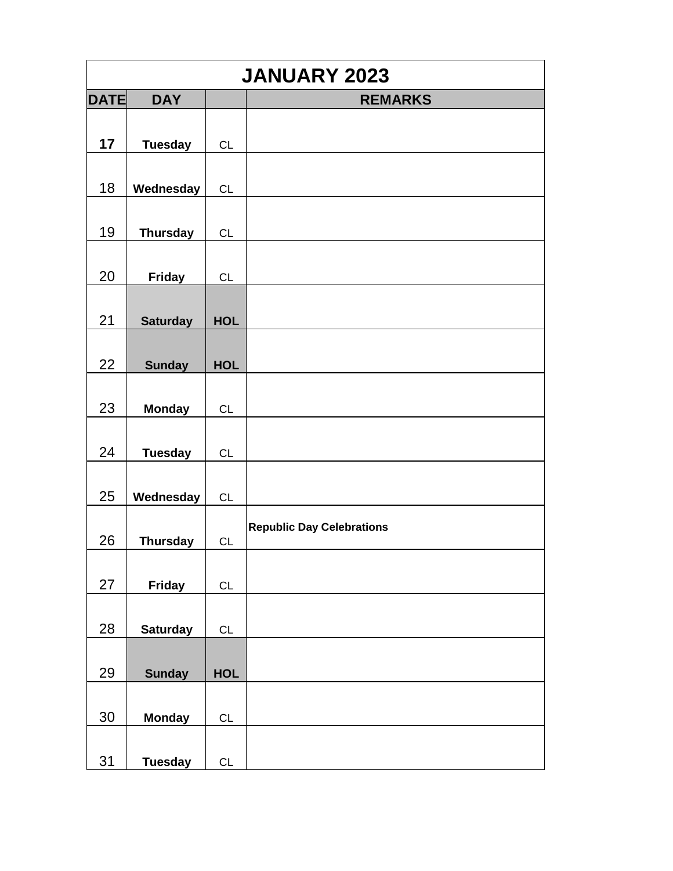| <b>JANUARY 2023</b> |                 |            |                                  |
|---------------------|-----------------|------------|----------------------------------|
| <b>DATE</b>         | <b>DAY</b>      |            | <b>REMARKS</b>                   |
|                     |                 |            |                                  |
| 17                  | <b>Tuesday</b>  | <b>CL</b>  |                                  |
|                     |                 |            |                                  |
| 18                  | Wednesday       | CL         |                                  |
|                     |                 |            |                                  |
| 19                  | <b>Thursday</b> | <b>CL</b>  |                                  |
|                     |                 |            |                                  |
| 20                  | <b>Friday</b>   | <b>CL</b>  |                                  |
|                     |                 |            |                                  |
| 21                  | <b>Saturday</b> | <b>HOL</b> |                                  |
|                     |                 |            |                                  |
| 22                  | <b>Sunday</b>   | <b>HOL</b> |                                  |
|                     |                 |            |                                  |
| 23                  | <b>Monday</b>   | <b>CL</b>  |                                  |
| 24                  |                 |            |                                  |
|                     | <b>Tuesday</b>  | CL         |                                  |
| 25                  | Wednesday       | CL         |                                  |
|                     |                 |            |                                  |
| 26                  | <b>Thursday</b> | CL         | <b>Republic Day Celebrations</b> |
|                     |                 |            |                                  |
| 27                  | Friday          | CL         |                                  |
|                     |                 |            |                                  |
| 28                  | <b>Saturday</b> | CL         |                                  |
|                     |                 |            |                                  |
| 29                  | <b>Sunday</b>   | <b>HOL</b> |                                  |
|                     |                 |            |                                  |
| $30\,$              | <b>Monday</b>   | CL         |                                  |
|                     |                 |            |                                  |
| 31                  | <b>Tuesday</b>  | CL         |                                  |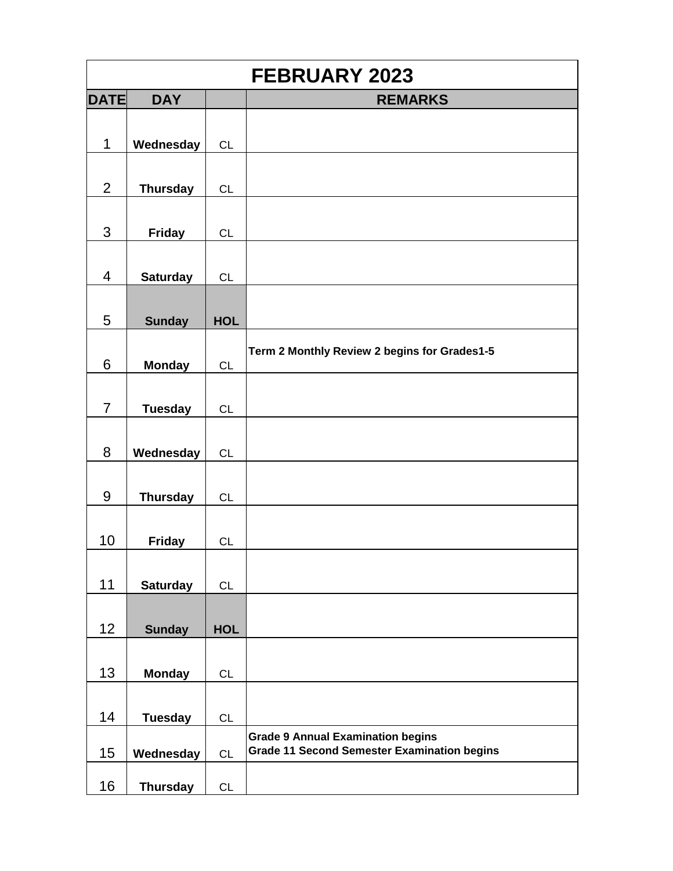|                |                 |            | <b>FEBRUARY 2023</b>                               |
|----------------|-----------------|------------|----------------------------------------------------|
| <b>DATE</b>    | <b>DAY</b>      |            | <b>REMARKS</b>                                     |
|                |                 |            |                                                    |
| 1              | Wednesday       | CL         |                                                    |
|                |                 |            |                                                    |
| $\overline{2}$ | <b>Thursday</b> | <b>CL</b>  |                                                    |
|                |                 |            |                                                    |
| 3              | <b>Friday</b>   | <b>CL</b>  |                                                    |
|                |                 |            |                                                    |
| $\overline{4}$ | <b>Saturday</b> | CL         |                                                    |
|                |                 |            |                                                    |
| 5              | <b>Sunday</b>   | <b>HOL</b> |                                                    |
|                |                 |            |                                                    |
| 6              | <b>Monday</b>   | <b>CL</b>  | Term 2 Monthly Review 2 begins for Grades1-5       |
|                |                 |            |                                                    |
| $\overline{7}$ | <b>Tuesday</b>  | <b>CL</b>  |                                                    |
|                |                 |            |                                                    |
| 8              | Wednesday       | CL         |                                                    |
|                |                 |            |                                                    |
| 9              | <b>Thursday</b> | <b>CL</b>  |                                                    |
|                |                 |            |                                                    |
| 10             | <b>Friday</b>   | <b>CL</b>  |                                                    |
|                |                 |            |                                                    |
| 11             | <b>Saturday</b> | <b>CL</b>  |                                                    |
|                |                 |            |                                                    |
| 12             | <b>Sunday</b>   | <b>HOL</b> |                                                    |
|                |                 |            |                                                    |
| 13             | <b>Monday</b>   | <b>CL</b>  |                                                    |
|                |                 |            |                                                    |
| 14             | <b>Tuesday</b>  | CL         |                                                    |
|                |                 |            | <b>Grade 9 Annual Examination begins</b>           |
| 15             | Wednesday       | CL         | <b>Grade 11 Second Semester Examination begins</b> |
| 16             | <b>Thursday</b> | CL         |                                                    |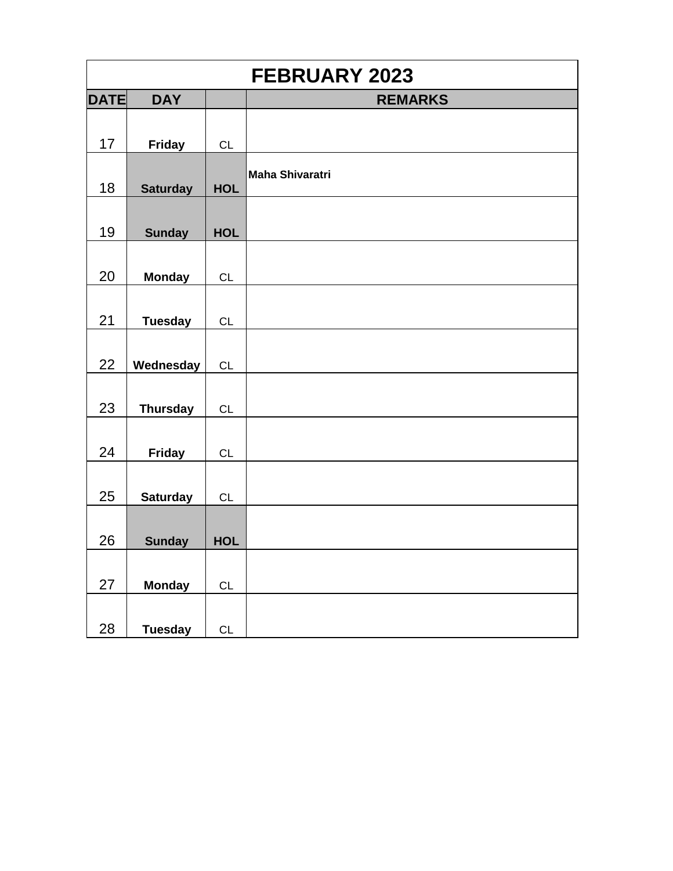| <b>FEBRUARY 2023</b> |                 |            |                        |  |
|----------------------|-----------------|------------|------------------------|--|
| <b>DATE</b>          | <b>DAY</b>      |            | <b>REMARKS</b>         |  |
| 17                   | <b>Friday</b>   | CL         |                        |  |
| 18                   | <b>Saturday</b> | <b>HOL</b> | <b>Maha Shivaratri</b> |  |
| 19                   | <b>Sunday</b>   | <b>HOL</b> |                        |  |
| 20                   | <b>Monday</b>   | CL         |                        |  |
| 21                   | <b>Tuesday</b>  | CL         |                        |  |
| 22                   | Wednesday       | <b>CL</b>  |                        |  |
| 23                   | <b>Thursday</b> | <b>CL</b>  |                        |  |
| 24                   | <b>Friday</b>   | CL         |                        |  |
| 25                   | <b>Saturday</b> | <b>CL</b>  |                        |  |
| 26                   | <b>Sunday</b>   | <b>HOL</b> |                        |  |
| 27                   | <b>Monday</b>   | CL         |                        |  |
| 28                   | <b>Tuesday</b>  | CL         |                        |  |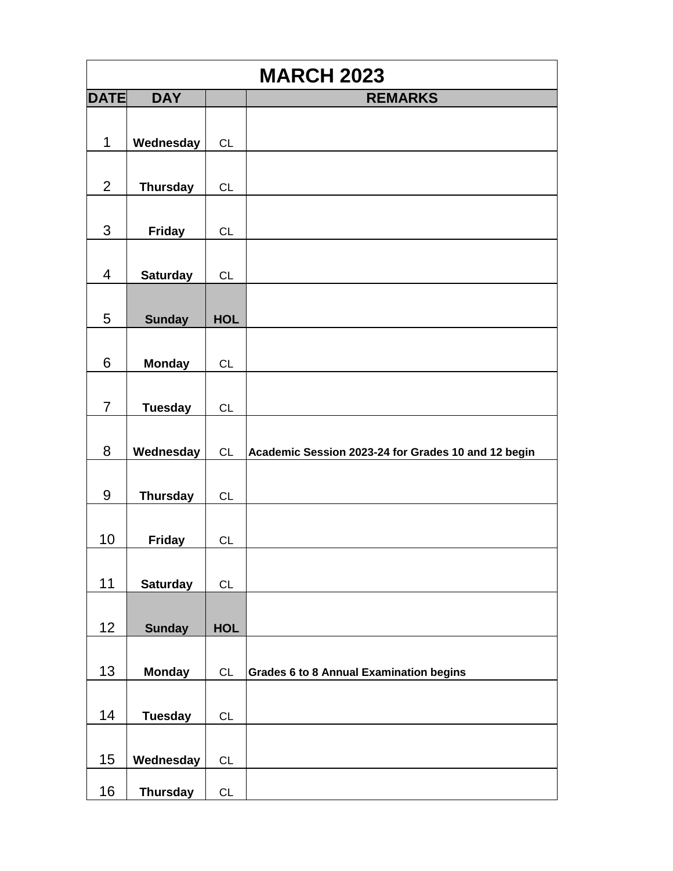| <b>MARCH 2023</b> |                 |            |                                                     |  |
|-------------------|-----------------|------------|-----------------------------------------------------|--|
| <b>DATE</b>       | <b>DAY</b>      |            | <b>REMARKS</b>                                      |  |
|                   |                 |            |                                                     |  |
| 1                 | Wednesday       | CL         |                                                     |  |
|                   |                 |            |                                                     |  |
| $\overline{2}$    | <b>Thursday</b> | CL         |                                                     |  |
|                   |                 |            |                                                     |  |
| 3                 | <b>Friday</b>   | CL         |                                                     |  |
|                   |                 |            |                                                     |  |
| $\overline{4}$    | <b>Saturday</b> | CL         |                                                     |  |
|                   |                 |            |                                                     |  |
| 5                 | <b>Sunday</b>   | <b>HOL</b> |                                                     |  |
|                   |                 |            |                                                     |  |
| 6                 | <b>Monday</b>   | CL         |                                                     |  |
|                   |                 |            |                                                     |  |
| $\overline{7}$    | <b>Tuesday</b>  | CL         |                                                     |  |
|                   |                 |            |                                                     |  |
| 8                 | Wednesday       | CL         | Academic Session 2023-24 for Grades 10 and 12 begin |  |
|                   |                 |            |                                                     |  |
| 9                 | <b>Thursday</b> | CL         |                                                     |  |
|                   |                 |            |                                                     |  |
| 10                | <b>Friday</b>   | CL         |                                                     |  |
|                   |                 |            |                                                     |  |
| 11                | <b>Saturday</b> | CL         |                                                     |  |
|                   |                 |            |                                                     |  |
| 12                | <b>Sunday</b>   | <b>HOL</b> |                                                     |  |
|                   |                 |            |                                                     |  |
| 13                | <b>Monday</b>   | CL         | <b>Grades 6 to 8 Annual Examination begins</b>      |  |
|                   |                 |            |                                                     |  |
| 14                | <b>Tuesday</b>  | CL         |                                                     |  |
|                   |                 |            |                                                     |  |
| 15                | Wednesday       | CL         |                                                     |  |
| 16                |                 | CL         |                                                     |  |
|                   | <b>Thursday</b> |            |                                                     |  |